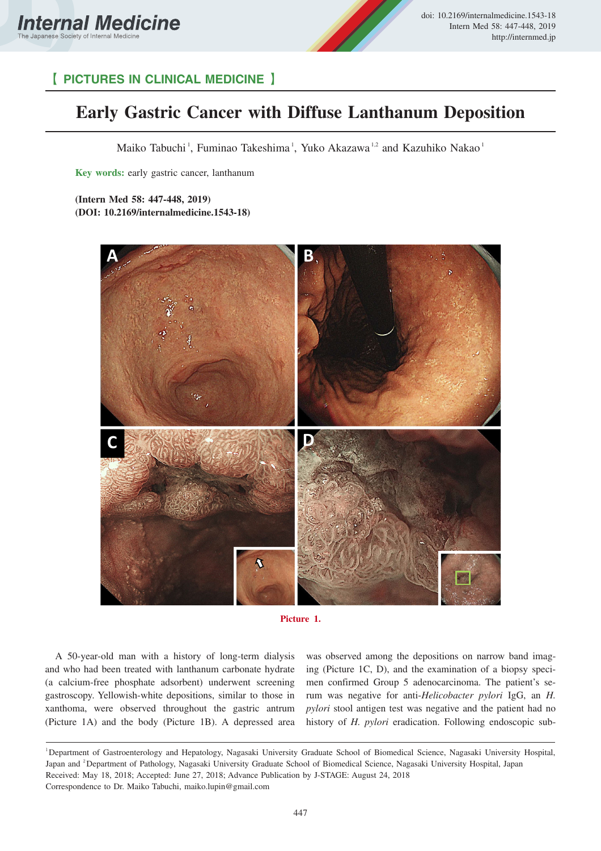



## 【 **PICTURES IN CLINICAL MEDICINE** 】

## **Early Gastric Cancer with Diffuse Lanthanum Deposition**

Maiko Tabuchi<sup>1</sup>, Fuminao Takeshima<sup>1</sup>, Yuko Akazawa<sup>1,2</sup> and Kazuhiko Nakao<sup>1</sup>

**Key words:** early gastric cancer, lanthanum

**(Intern Med 58: 447-448, 2019) (DOI: 10.2169/internalmedicine.1543-18)**





A 50-year-old man with a history of long-term dialysis and who had been treated with lanthanum carbonate hydrate (a calcium-free phosphate adsorbent) underwent screening gastroscopy. Yellowish-white depositions, similar to those in xanthoma, were observed throughout the gastric antrum (Picture 1A) and the body (Picture 1B). A depressed area was observed among the depositions on narrow band imaging (Picture 1C, D), and the examination of a biopsy specimen confirmed Group 5 adenocarcinoma. The patient's serum was negative for anti-*Helicobacter pylori* IgG, an *H. pylori* stool antigen test was negative and the patient had no history of *H. pylori* eradication. Following endoscopic sub-

<sup>1</sup>Department of Gastroenterology and Hepatology, Nagasaki University Graduate School of Biomedical Science, Nagasaki University Hospital, Japan and <sup>2</sup> Department of Pathology, Nagasaki University Graduate School of Biomedical Science, Nagasaki University Hospital, Japan Received: May 18, 2018; Accepted: June 27, 2018; Advance Publication by J-STAGE: August 24, 2018 Correspondence to Dr. Maiko Tabuchi, maiko.lupin@gmail.com